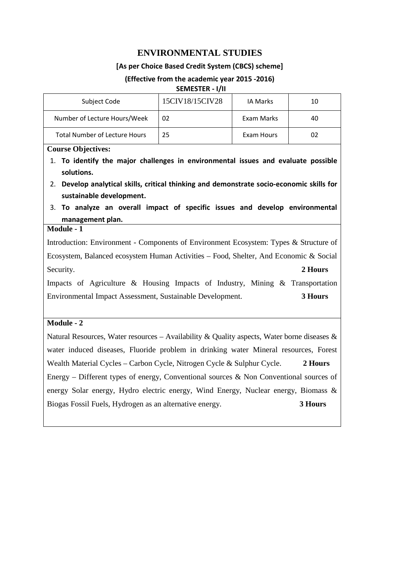# **ENVIRONMENTAL STUDIES**

### **[As per Choice Based Credit System (CBCS) scheme]**

### **(Effective from the academic year 2015 -2016)**

#### **SEMESTER - I/II**

| Subject Code                         | 15CIV18/15CIV28 | IA Marks   | 10 |
|--------------------------------------|-----------------|------------|----|
| Number of Lecture Hours/Week         | 02              | Exam Marks | 40 |
| <b>Total Number of Lecture Hours</b> | 25              | Exam Hours | 02 |

#### **Course Objectives:**

- 1. **To identify the major challenges in environmental issues and evaluate possible solutions.**
- 2. **Develop analytical skills, critical thinking and demonstrate socio-economic skills for sustainable development.**
- 3. **To analyze an overall impact of specific issues and develop environmental management plan.**

### **Module - 1**

Introduction: Environment - Components of Environment Ecosystem: Types & Structure of Ecosystem, Balanced ecosystem Human Activities – Food, Shelter, And Economic & Social Security. **2 Hours** 

Impacts of Agriculture & Housing Impacts of Industry, Mining & Transportation Environmental Impact Assessment, Sustainable Development. **3 Hours** 

### **Module - 2**

Natural Resources, Water resources – Availability & Quality aspects, Water borne diseases  $\&$ water induced diseases, Fluoride problem in drinking water Mineral resources, Forest Wealth Material Cycles – Carbon Cycle, Nitrogen Cycle & Sulphur Cycle. **2 Hours**  Energy – Different types of energy, Conventional sources & Non Conventional sources of energy Solar energy, Hydro electric energy, Wind Energy, Nuclear energy, Biomass & Biogas Fossil Fuels, Hydrogen as an alternative energy. **3 Hours**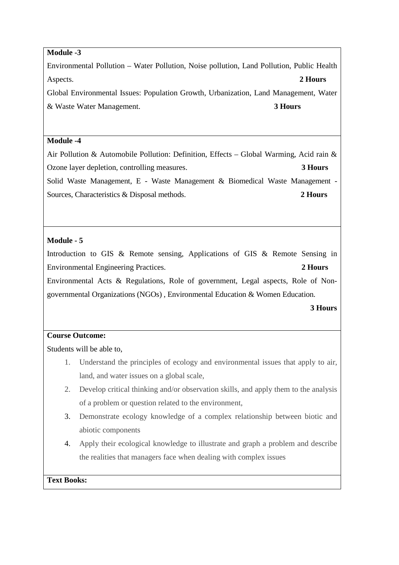## **Module -3**

Environmental Pollution – Water Pollution, Noise pollution, Land Pollution, Public Health Aspects. **2 Hours** 

Global Environmental Issues: Population Growth, Urbanization, Land Management, Water & Waste Water Management. **3 Hours** 

### **Module -4**

Air Pollution & Automobile Pollution: Definition, Effects – Global Warming, Acid rain & Ozone layer depletion, controlling measures. **3 Hours**  Solid Waste Management, E - Waste Management & Biomedical Waste Management - Sources, Characteristics & Disposal methods. **2 Hours** 

# **Module - 5**

Introduction to GIS & Remote sensing, Applications of GIS & Remote Sensing in Environmental Engineering Practices. **2 Hours** 

Environmental Acts & Regulations, Role of government, Legal aspects, Role of Nongovernmental Organizations (NGOs) , Environmental Education & Women Education.

### **3 Hours**

## **Course Outcome:**

Students will be able to,

- 1. Understand the principles of ecology and environmental issues that apply to air, land, and water issues on a global scale,
- 2. Develop critical thinking and/or observation skills, and apply them to the analysis of a problem or question related to the environment,
- 3. Demonstrate ecology knowledge of a complex relationship between biotic and abiotic components
- 4. Apply their ecological knowledge to illustrate and graph a problem and describe the realities that managers face when dealing with complex issues

### **Text Books:**